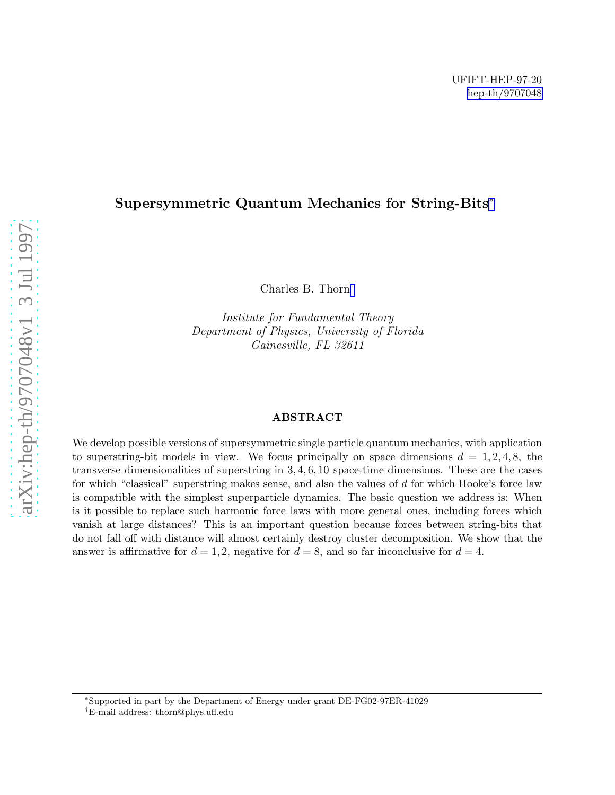## Supersymmetric Quantum Mechanics for String-Bits ∗

Charles B. Thorn †

Institute for Fundamental Theory Department of Physics, University of Florida Gainesville, FL 32611

#### ABSTRACT

We develop possible versions of supersymmetric single particle quantum mechanics, with application to superstring-bit models in view. We focus principally on space dimensions  $d = 1, 2, 4, 8$ , the transverse dimensionalities of superstring in 3 , 4 , 6 , 10 space-time dimensions. These are the cases for which "classical" superstring makes sense, and also the values of d for which Hooke's force law is compatible with the simplest superparticle dynamics. The basic question we address is: When is it possible to replace such harmonic force laws with more general ones, including forces which vanish at large distances? This is an important question because forces between string-bits that do not fall off with distance will almost certainly destroy cluster decomposition. We show that the answer is affirmative for  $d = 1, 2$ , negative for  $d = 8$ , and so far inconclusive for  $d = 4$ .

<sup>∗</sup>Supported in part by the Department of Energy under grant DE-FG02-97ER-41029

<sup>†</sup>E-mail address: thorn@phys.ufl.edu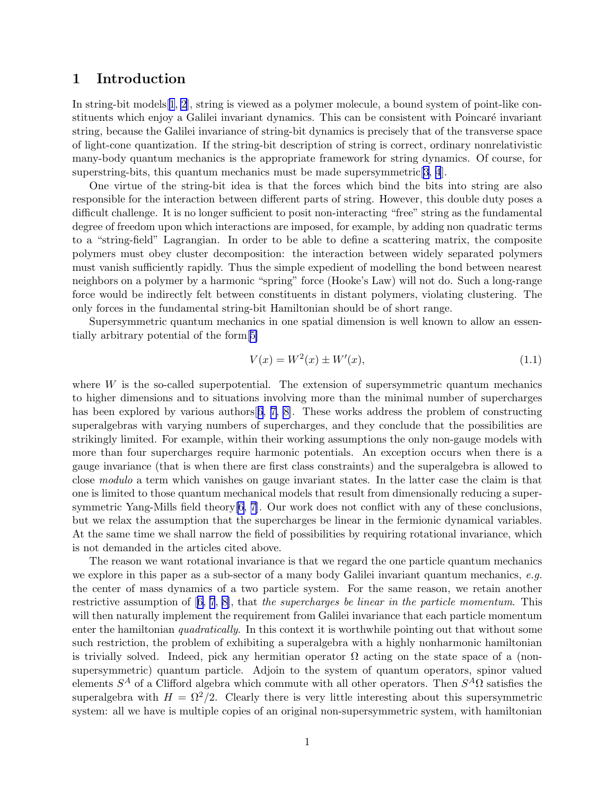### 1 Introduction

In string-bit models[[1](#page-16-0), [2\]](#page-16-0), string is viewed as a polymer molecule, a bound system of point-like constituents which enjoy a Galilei invariant dynamics. This can be consistent with Poincaré invariant string, because the Galilei invariance of string-bit dynamics is precisely that of the transverse space of light-cone quantization. If the string-bit description of string is correct, ordinary nonrelativistic many-body quantum mechanics is the appropriate framework for string dynamics. Of course, for superstring-bits, this quantum mechanics must be made supersymmetric  $[3, 4]$  $[3, 4]$  $[3, 4]$  $[3, 4]$  $[3, 4]$ .

One virtue of the string-bit idea is that the forces which bind the bits into string are also responsible for the interaction between different parts of string. However, this double duty poses a difficult challenge. It is no longer sufficient to posit non-interacting "free" string as the fundamental degree of freedom upon which interactions are imposed, for example, by adding non quadratic terms to a "string-field" Lagrangian. In order to be able to define a scattering matrix, the composite polymers must obey cluster decomposition: the interaction between widely separated polymers must vanish sufficiently rapidly. Thus the simple expedient of modelling the bond between nearest neighbors on a polymer by a harmonic "spring" force (Hooke's Law) will not do. Such a long-range force would be indirectly felt between constituents in distant polymers, violating clustering. The only forces in the fundamental string-bit Hamiltonian should be of short range.

Supersymmetric quantum mechanics in one spatial dimension is well known to allow an essentially arbitrary potential of the form[\[5\]](#page-16-0)

$$
V(x) = W^{2}(x) \pm W'(x),
$$
\n(1.1)

where  $W$  is the so-called superpotential. The extension of supersymmetric quantum mechanics to higher dimensions and to situations involving more than the minimal number of supercharges has been explored by various authors [[6, 7, 8\]](#page-16-0). These works address the problem of constructing superalgebras with varying numbers of supercharges, and they conclude that the possibilities are strikingly limited. For example, within their working assumptions the only non-gauge models with more than four supercharges require harmonic potentials. An exception occurs when there is a gauge invariance (that is when there are first class constraints) and the superalgebra is allowed to close modulo a term which vanishes on gauge invariant states. In the latter case the claim is that one is limited to those quantum mechanical models that result from dimensionally reducing a supersymmetric Yang-Mills field theory[\[6, 7](#page-16-0)]. Our work does not conflict with any of these conclusions, but we relax the assumption that the supercharges be linear in the fermionic dynamical variables. At the same time we shall narrow the field of possibilities by requiring rotational invariance, which is not demanded in the articles cited above.

The reason we want rotational invariance is that we regard the one particle quantum mechanics we explore in this paper as a sub-sector of a many body Galilei invariant quantum mechanics,  $e.g.$ the center of mass dynamics of a two particle system. For the same reason, we retain another restrictiveassumption of  $[6, 7, 8]$  $[6, 7, 8]$  $[6, 7, 8]$  $[6, 7, 8]$  $[6, 7, 8]$  $[6, 7, 8]$ , that the supercharges be linear in the particle momentum. This will then naturally implement the requirement from Galilei invariance that each particle momentum enter the hamiltonian *quadratically*. In this context it is worthwhile pointing out that without some such restriction, the problem of exhibiting a superalgebra with a highly nonharmonic hamiltonian is trivially solved. Indeed, pick any hermitian operator  $\Omega$  acting on the state space of a (nonsupersymmetric) quantum particle. Adjoin to the system of quantum operators, spinor valued elements  $S^A$  of a Clifford algebra which commute with all other operators. Then  $S^A\Omega$  satisfies the superalgebra with  $H = \Omega^2/2$ . Clearly there is very little interesting about this supersymmetric system: all we have is multiple copies of an original non-supersymmetric system, with hamiltonian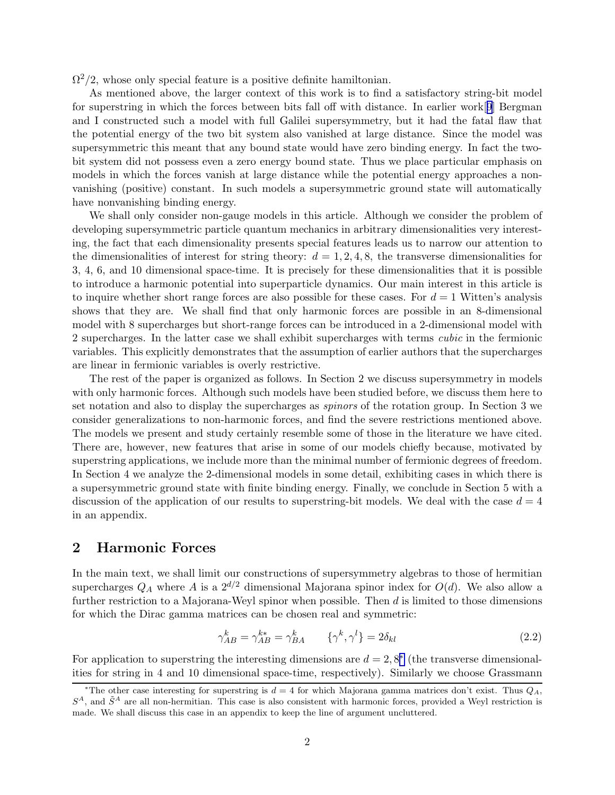<span id="page-2-0"></span> $\Omega^2/2$ , whose only special feature is a positive definite hamiltonian.

As mentioned above, the larger context of this work is to find a satisfactory string-bit model for superstring in which the forces between bits fall off with distance. In earlier work[[9](#page-16-0)] Bergman and I constructed such a model with full Galilei supersymmetry, but it had the fatal flaw that the potential energy of the two bit system also vanished at large distance. Since the model was supersymmetric this meant that any bound state would have zero binding energy. In fact the twobit system did not possess even a zero energy bound state. Thus we place particular emphasis on models in which the forces vanish at large distance while the potential energy approaches a nonvanishing (positive) constant. In such models a supersymmetric ground state will automatically have nonvanishing binding energy.

We shall only consider non-gauge models in this article. Although we consider the problem of developing supersymmetric particle quantum mechanics in arbitrary dimensionalities very interesting, the fact that each dimensionality presents special features leads us to narrow our attention to the dimensionalities of interest for string theory:  $d = 1, 2, 4, 8$ , the transverse dimensionalities for 3, 4, 6, and 10 dimensional space-time. It is precisely for these dimensionalities that it is possible to introduce a harmonic potential into superparticle dynamics. Our main interest in this article is to inquire whether short range forces are also possible for these cases. For  $d = 1$  Witten's analysis shows that they are. We shall find that only harmonic forces are possible in an 8-dimensional model with 8 supercharges but short-range forces can be introduced in a 2-dimensional model with 2 supercharges. In the latter case we shall exhibit supercharges with terms cubic in the fermionic variables. This explicitly demonstrates that the assumption of earlier authors that the supercharges are linear in fermionic variables is overly restrictive.

The rest of the paper is organized as follows. In Section 2 we discuss supersymmetry in models with only harmonic forces. Although such models have been studied before, we discuss them here to set notation and also to display the supercharges as spinors of the rotation group. In Section 3 we consider generalizations to non-harmonic forces, and find the severe restrictions mentioned above. The models we present and study certainly resemble some of those in the literature we have cited. There are, however, new features that arise in some of our models chiefly because, motivated by superstring applications, we include more than the minimal number of fermionic degrees of freedom. In Section 4 we analyze the 2-dimensional models in some detail, exhibiting cases in which there is a supersymmetric ground state with finite binding energy. Finally, we conclude in Section 5 with a discussion of the application of our results to superstring-bit models. We deal with the case  $d = 4$ in an appendix.

#### 2 Harmonic Forces

In the main text, we shall limit our constructions of supersymmetry algebras to those of hermitian supercharges  $Q_A$  where A is a  $2^{d/2}$  dimensional Majorana spinor index for  $O(d)$ . We also allow a further restriction to a Majorana-Weyl spinor when possible. Then  $d$  is limited to those dimensions for which the Dirac gamma matrices can be chosen real and symmetric:

$$
\gamma_{AB}^k = \gamma_{AB}^{k*} = \gamma_{BA}^k \qquad \{\gamma^k, \gamma^l\} = 2\delta_{kl} \tag{2.2}
$$

For application to superstring the interesting dimensions are  $d = 2, 8^*$  (the transverse dimensionalities for string in 4 and 10 dimensional space-time, respectively). Similarly we choose Grassmann

<sup>\*</sup>The other case interesting for superstring is  $d = 4$  for which Majorana gamma matrices don't exist. Thus  $Q_A$ ,  $S<sup>A</sup>$ , and  $\tilde{S}<sup>A</sup>$  are all non-hermitian. This case is also consistent with harmonic forces, provided a Weyl restriction is made. We shall discuss this case in an appendix to keep the line of argument uncluttered.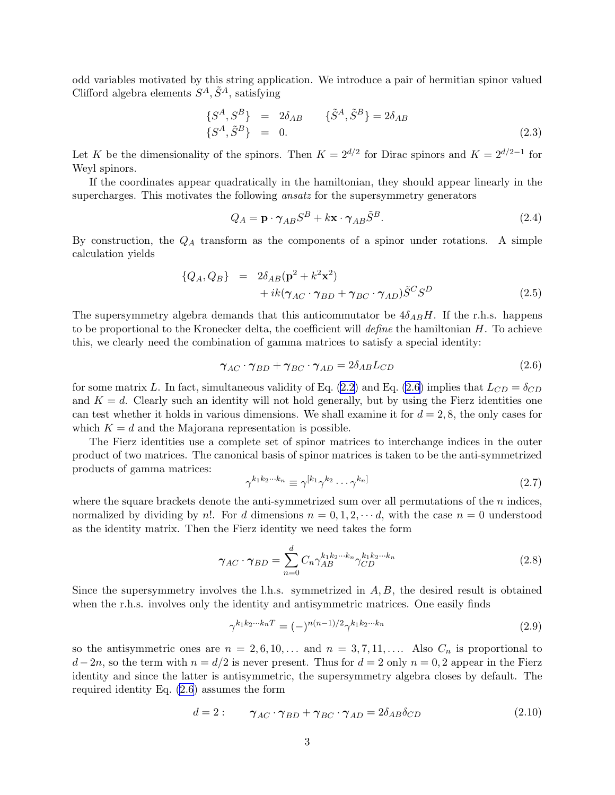<span id="page-3-0"></span>odd variables motivated by this string application. We introduce a pair of hermitian spinor valued Clifford algebra elements  $S^A$ ,  $\tilde{S}^A$ , satisfying

$$
\{S^{A}, S^{B}\} = 2\delta_{AB} \qquad \{\tilde{S}^{A}, \tilde{S}^{B}\} = 2\delta_{AB} \{S^{A}, \tilde{S}^{B}\} = 0.
$$
\n(2.3)

Let K be the dimensionality of the spinors. Then  $K = 2^{d/2}$  for Dirac spinors and  $K = 2^{d/2-1}$  for Weyl spinors.

If the coordinates appear quadratically in the hamiltonian, they should appear linearly in the supercharges. This motivates the following ansatz for the supersymmetry generators

$$
Q_A = \mathbf{p} \cdot \boldsymbol{\gamma}_{AB} S^B + k \mathbf{x} \cdot \boldsymbol{\gamma}_{AB} \tilde{S}^B.
$$
 (2.4)

By construction, the  $Q_A$  transform as the components of a spinor under rotations. A simple calculation yields

$$
\{Q_A, Q_B\} = 2\delta_{AB}(\mathbf{p}^2 + k^2 \mathbf{x}^2) + ik(\gamma_{AC} \cdot \gamma_{BD} + \gamma_{BC} \cdot \gamma_{AD})\tilde{S}^C S^D
$$
(2.5)

The supersymmetry algebra demands that this anticommutator be  $4\delta_{AB}H$ . If the r.h.s. happens to be proportional to the Kronecker delta, the coefficient will *define* the hamiltonian  $H$ . To achieve this, we clearly need the combination of gamma matrices to satisfy a special identity:

$$
\gamma_{AC} \cdot \gamma_{BD} + \gamma_{BC} \cdot \gamma_{AD} = 2\delta_{AB} L_{CD}
$$
 (2.6)

for some matrix L. In fact, simultaneous validity of Eq. [\(2.2](#page-2-0)) and Eq. (2.6) implies that  $L_{CD} = \delta_{CD}$ and  $K = d$ . Clearly such an identity will not hold generally, but by using the Fierz identities one can test whether it holds in various dimensions. We shall examine it for  $d = 2, 8$ , the only cases for which  $K = d$  and the Majorana representation is possible.

The Fierz identities use a complete set of spinor matrices to interchange indices in the outer product of two matrices. The canonical basis of spinor matrices is taken to be the anti-symmetrized products of gamma matrices:

$$
\gamma^{k_1 k_2 \cdots k_n} \equiv \gamma^{[k_1} \gamma^{k_2} \cdots \gamma^{k_n]}
$$
\n(2.7)

where the square brackets denote the anti-symmetrized sum over all permutations of the  $n$  indices, normalized by dividing by n!. For d dimensions  $n = 0, 1, 2, \dots d$ , with the case  $n = 0$  understood as the identity matrix. Then the Fierz identity we need takes the form

$$
\gamma_{AC} \cdot \gamma_{BD} = \sum_{n=0}^{d} C_n \gamma_{AB}^{k_1 k_2 \cdots k_n} \gamma_{CD}^{k_1 k_2 \cdots k_n}
$$
\n(2.8)

Since the supersymmetry involves the l.h.s. symmetrized in  $A, B$ , the desired result is obtained when the r.h.s. involves only the identity and antisymmetric matrices. One easily finds

$$
\gamma^{k_1 k_2 \cdots k_n T} = (-)^{n(n-1)/2} \gamma^{k_1 k_2 \cdots k_n}
$$
\n(2.9)

so the antisymmetric ones are  $n = 2, 6, 10, \ldots$  and  $n = 3, 7, 11, \ldots$ . Also  $C_n$  is proportional to  $d-2n$ , so the term with  $n = d/2$  is never present. Thus for  $d = 2$  only  $n = 0, 2$  appear in the Fierz identity and since the latter is antisymmetric, the supersymmetry algebra closes by default. The required identity Eq. (2.6) assumes the form

$$
d = 2: \t\gamma_{AC} \cdot \gamma_{BD} + \gamma_{BC} \cdot \gamma_{AD} = 2\delta_{AB}\delta_{CD} \t(2.10)
$$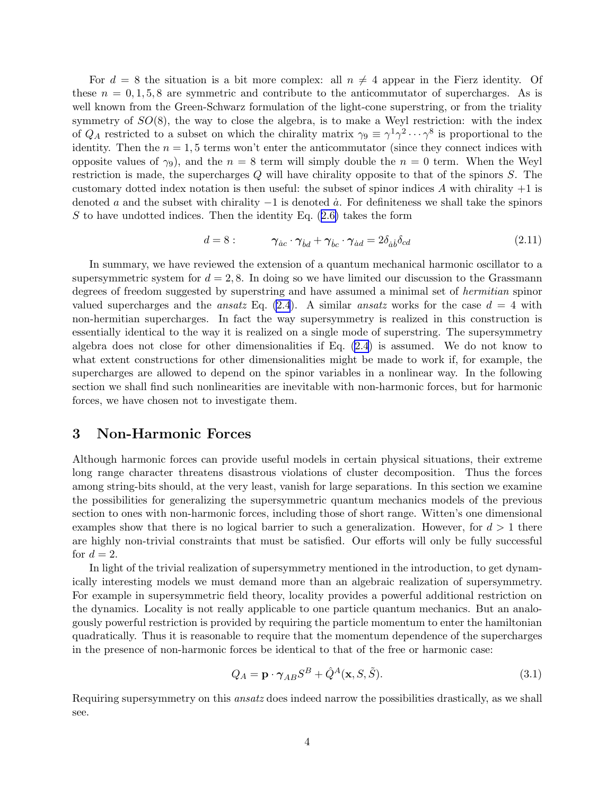<span id="page-4-0"></span>For  $d = 8$  the situation is a bit more complex: all  $n \neq 4$  appear in the Fierz identity. Of these  $n = 0, 1, 5, 8$  are symmetric and contribute to the anticommutator of supercharges. As is well known from the Green-Schwarz formulation of the light-cone superstring, or from the triality symmetry of  $SO(8)$ , the way to close the algebra, is to make a Weyl restriction: with the index of  $Q_A$  restricted to a subset on which the chirality matrix  $\gamma_9 \equiv \gamma^1 \gamma^2 \cdots \gamma^8$  is proportional to the identity. Then the  $n = 1, 5$  terms won't enter the anticommutator (since they connect indices with opposite values of  $\gamma_9$ ), and the  $n = 8$  term will simply double the  $n = 0$  term. When the Weyl restriction is made, the supercharges Q will have chirality opposite to that of the spinors S. The customary dotted index notation is then useful: the subset of spinor indices A with chirality  $+1$  is denoted a and the subset with chirality  $-1$  is denoted  $\dot{a}$ . For definiteness we shall take the spinors Sto have undotted indices. Then the identity Eq.  $(2.6)$  $(2.6)$  takes the form

$$
d = 8: \t\t \gamma_{\dot{a}c} \cdot \gamma_{\dot{b}d} + \gamma_{\dot{b}c} \cdot \gamma_{\dot{a}d} = 2\delta_{\dot{a}\dot{b}}\delta_{cd} \t\t (2.11)
$$

In summary, we have reviewed the extension of a quantum mechanical harmonic oscillator to a supersymmetric system for  $d = 2, 8$ . In doing so we have limited our discussion to the Grassmann degrees of freedom suggested by superstring and have assumed a minimal set of hermitian spinor valued supercharges and the *ansatz* Eq. [\(2.4](#page-3-0)). A similar *ansatz* works for the case  $d = 4$  with non-hermitian supercharges. In fact the way supersymmetry is realized in this construction is essentially identical to the way it is realized on a single mode of superstring. The supersymmetry algebra does not close for other dimensionalities if Eq. [\(2.4](#page-3-0)) is assumed. We do not know to what extent constructions for other dimensionalities might be made to work if, for example, the supercharges are allowed to depend on the spinor variables in a nonlinear way. In the following section we shall find such nonlinearities are inevitable with non-harmonic forces, but for harmonic forces, we have chosen not to investigate them.

#### 3 Non-Harmonic Forces

Although harmonic forces can provide useful models in certain physical situations, their extreme long range character threatens disastrous violations of cluster decomposition. Thus the forces among string-bits should, at the very least, vanish for large separations. In this section we examine the possibilities for generalizing the supersymmetric quantum mechanics models of the previous section to ones with non-harmonic forces, including those of short range. Witten's one dimensional examples show that there is no logical barrier to such a generalization. However, for  $d > 1$  there are highly non-trivial constraints that must be satisfied. Our efforts will only be fully successful for  $d=2$ .

In light of the trivial realization of supersymmetry mentioned in the introduction, to get dynamically interesting models we must demand more than an algebraic realization of supersymmetry. For example in supersymmetric field theory, locality provides a powerful additional restriction on the dynamics. Locality is not really applicable to one particle quantum mechanics. But an analogously powerful restriction is provided by requiring the particle momentum to enter the hamiltonian quadratically. Thus it is reasonable to require that the momentum dependence of the supercharges in the presence of non-harmonic forces be identical to that of the free or harmonic case:

$$
Q_A = \mathbf{p} \cdot \boldsymbol{\gamma}_{AB} S^B + \hat{Q}^A(\mathbf{x}, S, \tilde{S}).
$$
\n(3.1)

Requiring supersymmetry on this ansatz does indeed narrow the possibilities drastically, as we shall see.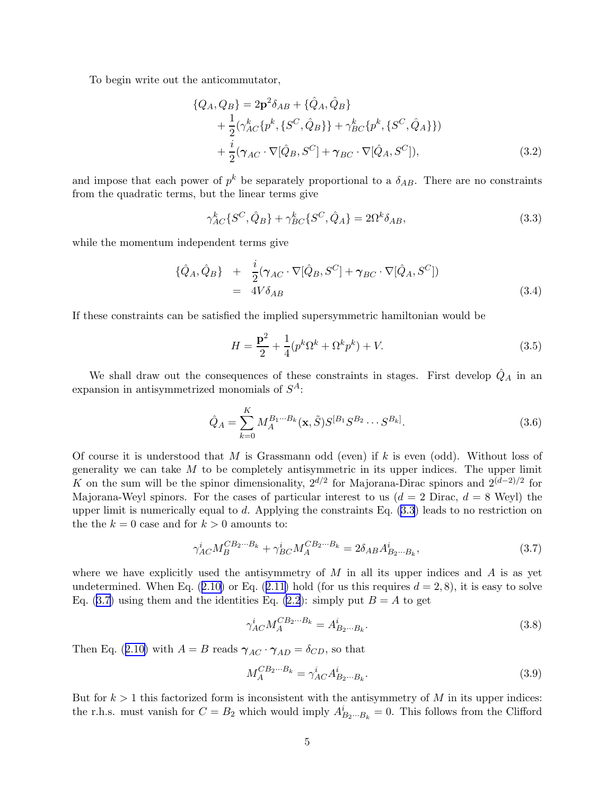<span id="page-5-0"></span>To begin write out the anticommutator,

$$
\{Q_A, Q_B\} = 2\mathbf{p}^2 \delta_{AB} + \{\hat{Q}_A, \hat{Q}_B\} + \frac{1}{2} (\gamma_{AC}^k \{p^k, \{S^C, \hat{Q}_B\}\} + \gamma_{BC}^k \{p^k, \{S^C, \hat{Q}_A\}\}) + \frac{i}{2} (\gamma_{AC} \cdot \nabla[\hat{Q}_B, S^C] + \gamma_{BC} \cdot \nabla[\hat{Q}_A, S^C]),
$$
\n(3.2)

and impose that each power of  $p^k$  be separately proportional to a  $\delta_{AB}$ . There are no constraints from the quadratic terms, but the linear terms give

$$
\gamma_{AC}^{k} \{ S^{C}, \hat{Q}_{B} \} + \gamma_{BC}^{k} \{ S^{C}, \hat{Q}_{A} \} = 2\Omega^{k} \delta_{AB}, \qquad (3.3)
$$

while the momentum independent terms give

$$
\{\hat{Q}_A, \hat{Q}_B\} + \frac{i}{2} (\gamma_{AC} \cdot \nabla[\hat{Q}_B, S^C] + \gamma_{BC} \cdot \nabla[\hat{Q}_A, S^C])
$$
  
= 4V\delta\_{AB} (3.4)

If these constraints can be satisfied the implied supersymmetric hamiltonian would be

$$
H = \frac{\mathbf{p}^2}{2} + \frac{1}{4} (p^k \Omega^k + \Omega^k p^k) + V.
$$
 (3.5)

We shall draw out the consequences of these constraints in stages. First develop  $\hat{Q}_A$  in an expansion in antisymmetrized monomials of  $S^A$ :

$$
\hat{Q}_A = \sum_{k=0}^{K} M_A^{B_1 \cdots B_k}(\mathbf{x}, \tilde{S}) S^{[B_1} S^{B_2} \cdots S^{B_k]}.
$$
\n(3.6)

Of course it is understood that  $M$  is Grassmann odd (even) if  $k$  is even (odd). Without loss of generality we can take  $M$  to be completely antisymmetric in its upper indices. The upper limit K on the sum will be the spinor dimensionality,  $2^{d/2}$  for Majorana-Dirac spinors and  $2^{(d-2)/2}$  for Majorana-Weyl spinors. For the cases of particular interest to us  $(d = 2 \text{ Dirac}, d = 8 \text{ Weyl})$  the upper limit is numerically equal to d. Applying the constraints Eq.  $(3.3)$  leads to no restriction on the the  $k = 0$  case and for  $k > 0$  amounts to:

$$
\gamma_{AC}^i M_B^{CB_2\cdots B_k} + \gamma_{BC}^i M_A^{CB_2\cdots B_k} = 2\delta_{AB} A_{B_2\cdots B_k}^i,\tag{3.7}
$$

where we have explicitly used the antisymmetry of  $M$  in all its upper indices and  $A$  is as yet undetermined.When Eq.  $(2.10)$  $(2.10)$  or Eq.  $(2.11)$  $(2.11)$  hold (for us this requires  $d = 2, 8$ ), it is easy to solve Eq. (3.7) using them and the identities Eq. [\(2.2](#page-2-0)): simply put  $B = A$  to get

$$
\gamma_{AC}^{i} M_{A}^{CB_{2}\cdots B_{k}} = A_{B_{2}\cdots B_{k}}^{i}.
$$
\n(3.8)

ThenEq. ([2.10\)](#page-3-0) with  $A = B$  reads  $\gamma_{AC} \cdot \gamma_{AD} = \delta_{CD}$ , so that

$$
M_A^{CB_2\cdots B_k} = \gamma_{AC}^i A_{B_2\cdots B_k}^i.
$$
\n(3.9)

But for  $k > 1$  this factorized form is inconsistent with the antisymmetry of M in its upper indices: the r.h.s. must vanish for  $C = B_2$  which would imply  $A_{B_2\cdots B_k}^i = 0$ . This follows from the Clifford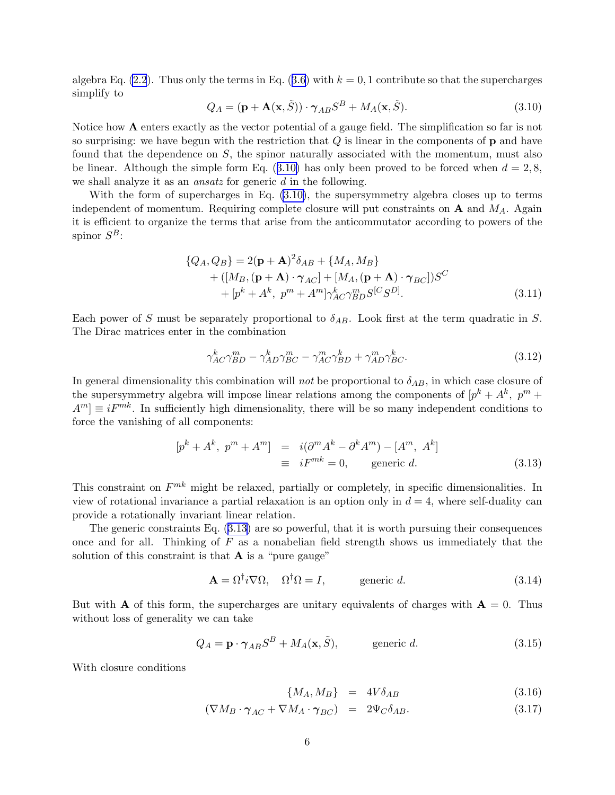<span id="page-6-0"></span>algebraEq.  $(2.2)$ . Thus only the terms in Eq.  $(3.6)$  $(3.6)$  $(3.6)$  with  $k = 0, 1$  contribute so that the supercharges simplify to

$$
Q_A = (\mathbf{p} + \mathbf{A}(\mathbf{x}, \tilde{S})) \cdot \gamma_{AB} S^B + M_A(\mathbf{x}, \tilde{S}).
$$
\n(3.10)

Notice how A enters exactly as the vector potential of a gauge field. The simplification so far is not so surprising: we have begun with the restriction that  $Q$  is linear in the components of  $p$  and have found that the dependence on S, the spinor naturally associated with the momentum, must also be linear. Although the simple form Eq.  $(3.10)$  has only been proved to be forced when  $d = 2, 8$ , we shall analyze it as an ansatz for generic d in the following.

With the form of supercharges in Eq. (3.10), the supersymmetry algebra closes up to terms independent of momentum. Requiring complete closure will put constraints on  $A$  and  $M_A$ . Again it is efficient to organize the terms that arise from the anticommutator according to powers of the spinor  $S^B$ :

$$
\{Q_A, Q_B\} = 2(\mathbf{p} + \mathbf{A})^2 \delta_{AB} + \{M_A, M_B\} + ([M_B, (\mathbf{p} + \mathbf{A}) \cdot \gamma_{AC}] + [M_A, (\mathbf{p} + \mathbf{A}) \cdot \gamma_{BC}]) S^C + [p^k + A^k, p^m + A^m] \gamma_{AC}^k \gamma_{BD}^m S^{[C} S^{D]}.
$$
(3.11)

Each power of S must be separately proportional to  $\delta_{AB}$ . Look first at the term quadratic in S. The Dirac matrices enter in the combination

$$
\gamma_{AC}^k \gamma_{BD}^m - \gamma_{AD}^k \gamma_{BC}^m - \gamma_{AC}^m \gamma_{BD}^k + \gamma_{AD}^m \gamma_{BC}^k. \tag{3.12}
$$

In general dimensionality this combination will not be proportional to  $\delta_{AB}$ , in which case closure of the supersymmetry algebra will impose linear relations among the components of  $[p^k + A^k, p^m +$  $A^m$  = iF<sup>mk</sup>. In sufficiently high dimensionality, there will be so many independent conditions to force the vanishing of all components:

$$
[p^{k} + A^{k}, p^{m} + A^{m}] = i(\partial^{m} A^{k} - \partial^{k} A^{m}) - [A^{m}, A^{k}]
$$
  

$$
\equiv iF^{mk} = 0, \qquad \text{generic } d. \tag{3.13}
$$

This constraint on  $F^{mk}$  might be relaxed, partially or completely, in specific dimensionalities. In view of rotational invariance a partial relaxation is an option only in  $d = 4$ , where self-duality can provide a rotationally invariant linear relation.

The generic constraints Eq. (3.13) are so powerful, that it is worth pursuing their consequences once and for all. Thinking of  $F$  as a nonabelian field strength shows us immediately that the solution of this constraint is that  $\bf{A}$  is a "pure gauge"

$$
\mathbf{A} = \Omega^{\dagger} i \nabla \Omega, \quad \Omega^{\dagger} \Omega = I, \qquad \text{generic } d. \tag{3.14}
$$

But with **A** of this form, the supercharges are unitary equivalents of charges with  $A = 0$ . Thus without loss of generality we can take

$$
Q_A = \mathbf{p} \cdot \boldsymbol{\gamma}_{AB} S^B + M_A(\mathbf{x}, \tilde{S}), \qquad \text{generic } d. \tag{3.15}
$$

With closure conditions

$$
\{M_A, M_B\} = 4V \delta_{AB} \tag{3.16}
$$

$$
(\nabla M_B \cdot \gamma_{AC} + \nabla M_A \cdot \gamma_{BC}) = 2\Psi_C \delta_{AB}.
$$
\n(3.17)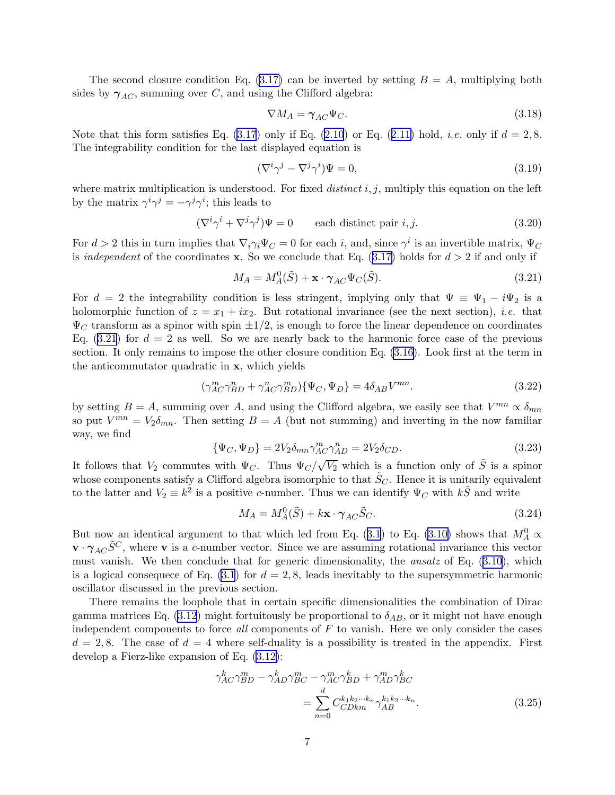The second closure condition Eq.  $(3.17)$  can be inverted by setting  $B = A$ , multiplying both sides by  $\gamma_{AC}$ , summing over C, and using the Clifford algebra:

$$
\nabla M_A = \gamma_{AC} \Psi_C. \tag{3.18}
$$

Notethat this form satisfies Eq.  $(3.17)$  only if Eq.  $(2.10)$  or Eq.  $(2.11)$  $(2.11)$  hold, *i.e.* only if  $d = 2, 8$ . The integrability condition for the last displayed equation is

$$
(\nabla^i \gamma^j - \nabla^j \gamma^i)\Psi = 0,\t\t(3.19)
$$

where matrix multiplication is understood. For fixed *distinct*  $i, j$ , multiply this equation on the left by the matrix  $\gamma^i \gamma^j = -\gamma^j \gamma^i$ ; this leads to

$$
(\nabla^i \gamma^i + \nabla^j \gamma^j) \Psi = 0 \qquad \text{each distinct pair } i, j. \tag{3.20}
$$

For  $d > 2$  this in turn implies that  $\nabla_i \gamma_i \Psi_C = 0$  for each i, and, since  $\gamma^i$  is an invertible matrix,  $\Psi_C$ is*independent* of the coordinates **x**. So we conclude that Eq. ([3.17\)](#page-6-0) holds for  $d > 2$  if and only if

$$
M_A = M_A^0(\tilde{S}) + \mathbf{x} \cdot \boldsymbol{\gamma}_{AC} \Psi_C(\tilde{S}). \tag{3.21}
$$

For  $d = 2$  the integrability condition is less stringent, implying only that  $\Psi = \Psi_1 - i\Psi_2$  is a holomorphic function of  $z = x_1 + ix_2$ . But rotational invariance (see the next section), *i.e.* that  $\Psi_C$  transform as a spinor with spin  $\pm 1/2$ , is enough to force the linear dependence on coordinates Eq.  $(3.21)$  for  $d = 2$  as well. So we are nearly back to the harmonic force case of the previous section. It only remains to impose the other closure condition Eq. [\(3.16\)](#page-6-0). Look first at the term in the anticommutator quadratic in x, which yields

$$
(\gamma_{AC}^{m}\gamma_{BD}^{n} + \gamma_{AC}^{n}\gamma_{BD}^{m})\{\Psi_{C},\Psi_{D}\} = 4\delta_{AB}V^{mn}.
$$
\n(3.22)

by setting  $B = A$ , summing over A, and using the Clifford algebra, we easily see that  $V^{mn} \propto \delta_{mn}$ so put  $V^{mn} = V_2 \delta_{mn}$ . Then setting  $B = A$  (but not summing) and inverting in the now familiar way, we find

$$
\{\Psi_C, \Psi_D\} = 2V_2 \delta_{mn} \gamma_{AC}^m \gamma_{AD}^n = 2V_2 \delta_{CD}.\tag{3.23}
$$

It follows that  $V_2$  commutes with  $\Psi_C$ . Thus  $\Psi_C/\sqrt{V_2}$  which is a function only of  $\tilde{S}$  is a spinor whose components satisfy a Clifford algebra isomorphic to that  $\tilde{S}_C$ . Hence it is unitarily equivalent to the latter and  $V_2 \equiv k^2$  is a positive c-number. Thus we can identify  $\Psi_C$  with  $k\tilde{S}$  and write

$$
M_A = M_A^0(\tilde{S}) + k\mathbf{x} \cdot \boldsymbol{\gamma}_{AC}\tilde{S}_C.
$$
\n(3.24)

Butnow an identical argument to that which led from Eq. ([3.1](#page-4-0)) to Eq. [\(3.10\)](#page-6-0) shows that  $M_A^0 \propto$  $\mathbf{v} \cdot \gamma_{AC} \tilde{S}^C$ , where **v** is a c-number vector. Since we are assuming rotational invariance this vector must vanish. We then conclude that for generic dimensionality, the ansatz of Eq.([3.10](#page-6-0)), which is a logical consequece of Eq.  $(3.1)$  for  $d = 2, 8$ , leads inevitably to the supersymmetric harmonic oscillator discussed in the previous section.

There remains the loophole that in certain specific dimensionalities the combination of Dirac gammamatrices Eq. ([3.12](#page-6-0)) might fortuitously be proportional to  $\delta_{AB}$ , or it might not have enough independent components to force all components of  $F$  to vanish. Here we only consider the cases  $d = 2, 8$ . The case of  $d = 4$  where self-duality is a possibility is treated in the appendix. First develop a Fierz-like expansion of Eq. [\(3.12\)](#page-6-0):

$$
\gamma_{AC}^k \gamma_{BD}^m - \gamma_{AD}^k \gamma_{BC}^m - \gamma_{AC}^m \gamma_{BD}^k + \gamma_{AD}^m \gamma_{BC}^k
$$

$$
= \sum_{n=0}^d C_{CDkm}^{k_1 k_2 \cdots k_n} \gamma_{AB}^{k_1 k_2 \cdots k_n}.
$$
(3.25)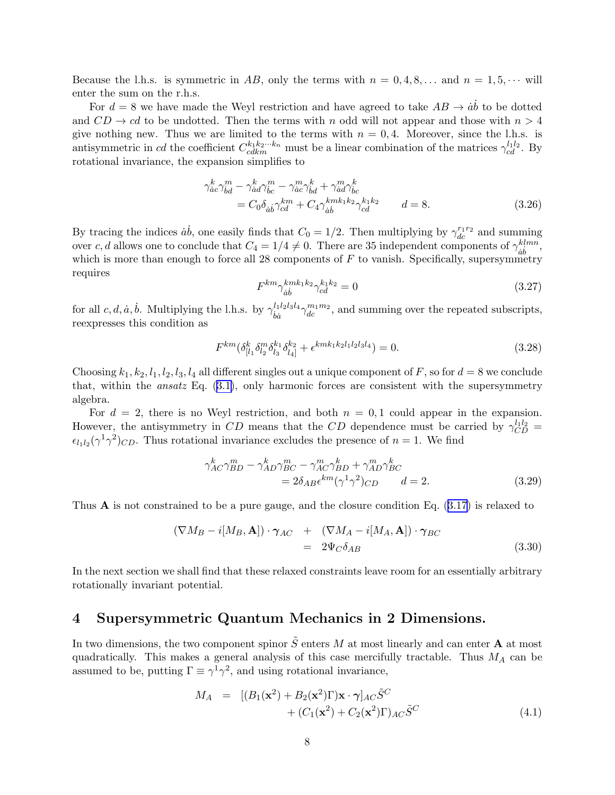<span id="page-8-0"></span>Because the l.h.s. is symmetric in AB, only the terms with  $n = 0, 4, 8, \ldots$  and  $n = 1, 5, \cdots$  will enter the sum on the r.h.s.

For  $d = 8$  we have made the Weyl restriction and have agreed to take  $AB \rightarrow \dot{a}\dot{b}$  to be dotted and  $CD \rightarrow cd$  to be undotted. Then the terms with n odd will not appear and those with  $n > 4$ give nothing new. Thus we are limited to the terms with  $n = 0, 4$ . Moreover, since the l.h.s. is antisymmetric in cd the coefficient  $C_{cdkm}^{k_1k_2\cdots k_n}$  must be a linear combination of the matrices  $\gamma_{cd}^{l_1l_2}$ . By rotational invariance, the expansion simplifies to

$$
\gamma_{\dot{a}c}^{k} \gamma_{\dot{b}d}^{m} - \gamma_{\dot{a}d}^{k} \gamma_{\dot{b}c}^{m} - \gamma_{\dot{a}c}^{m} \gamma_{\dot{b}d}^{k} + \gamma_{\dot{a}d}^{m} \gamma_{\dot{b}c}^{k}
$$
  
=  $C_{0} \delta_{\dot{a}\dot{b}} \gamma_{cd}^{km} + C_{4} \gamma_{\dot{a}\dot{b}}^{kmk_{1}k_{2}} \gamma_{cd}^{k_{1}k_{2}} \qquad d = 8.$  (3.26)

By tracing the indices  $\dot{a}\dot{b}$ , one easily finds that  $C_0 = 1/2$ . Then multiplying by  $\gamma_{dc}^{r_1 r_2}$  and summing over c, d allows one to conclude that  $C_4 = 1/4 \neq 0$ . There are 35 independent components of  $\gamma_{\dot{a}\dot{b}}^{klmn}$  $\frac{ k l m n }{a b},$ which is more than enough to force all 28 components of  $F$  to vanish. Specifically, supersymmetry requires

$$
F^{km} \gamma_{\dot{a}\dot{b}}^{kmk_1k_2} \gamma_{cd}^{k_1k_2} = 0 \tag{3.27}
$$

for all  $c, d, \dot{a}, \dot{b}$ . Multiplying the l.h.s. by  $\gamma_{i\dot{a}}^{l_1 l_2 l_3 l_4}$  $\psi_{\dot{b}\dot{a}}^{l_1 l_2 l_3 l_4} \gamma_{dc}^{m_1 m_2}$ , and summing over the repeated subscripts, reexpresses this condition as

$$
F^{km}(\delta_{[l_1}^k \delta_{l_2}^m \delta_{l_3}^{k_1} \delta_{l_4]}^{k_2} + \epsilon^{kmk_1k_2l_1l_2l_3l_4}) = 0. \tag{3.28}
$$

Choosing  $k_1, k_2, l_1, l_2, l_3, l_4$  all different singles out a unique component of F, so for  $d = 8$  we conclude that,within the *ansatz* Eq.  $(3.1)$  $(3.1)$ , only harmonic forces are consistent with the supersymmetry algebra.

For  $d = 2$ , there is no Weyl restriction, and both  $n = 0, 1$  could appear in the expansion. However, the antisymmetry in CD means that the CD dependence must be carried by  $\gamma_{CD}^{l_1l_2}$  =  $\epsilon_{l_1l_2}(\gamma^1\gamma^2)_{CD}$ . Thus rotational invariance excludes the presence of  $n=1$ . We find

$$
\gamma_{AC}^{k} \gamma_{BD}^{m} - \gamma_{AD}^{k} \gamma_{BC}^{m} - \gamma_{AC}^{m} \gamma_{BD}^{k} + \gamma_{AD}^{m} \gamma_{BC}^{k}
$$
  
=  $2\delta_{AB} \epsilon^{km} (\gamma^{1} \gamma^{2})_{CD}$   $d = 2.$  (3.29)

Thus A is not constrained to be a pure gauge, and the closure condition Eq.([3.17](#page-6-0)) is relaxed to

$$
(\nabla M_B - i[M_B, \mathbf{A}]) \cdot \gamma_{AC} + (\nabla M_A - i[M_A, \mathbf{A}]) \cdot \gamma_{BC}
$$
  
=  $2\Psi_C \delta_{AB}$  (3.30)

In the next section we shall find that these relaxed constraints leave room for an essentially arbitrary rotationally invariant potential.

#### 4 Supersymmetric Quantum Mechanics in 2 Dimensions.

In two dimensions, the two component spinor  $\tilde{S}$  enters  $M$  at most linearly and can enter  $\mathbf A$  at most quadratically. This makes a general analysis of this case mercifully tractable. Thus  $M_A$  can be assumed to be, putting  $\Gamma \equiv \gamma^1 \gamma^2$ , and using rotational invariance,

$$
M_A = [(B_1(\mathbf{x}^2) + B_2(\mathbf{x}^2)\Gamma)\mathbf{x} \cdot \boldsymbol{\gamma}]_{AC}\tilde{S}^C + (C_1(\mathbf{x}^2) + C_2(\mathbf{x}^2)\Gamma)_{AC}\tilde{S}^C
$$
\n(4.1)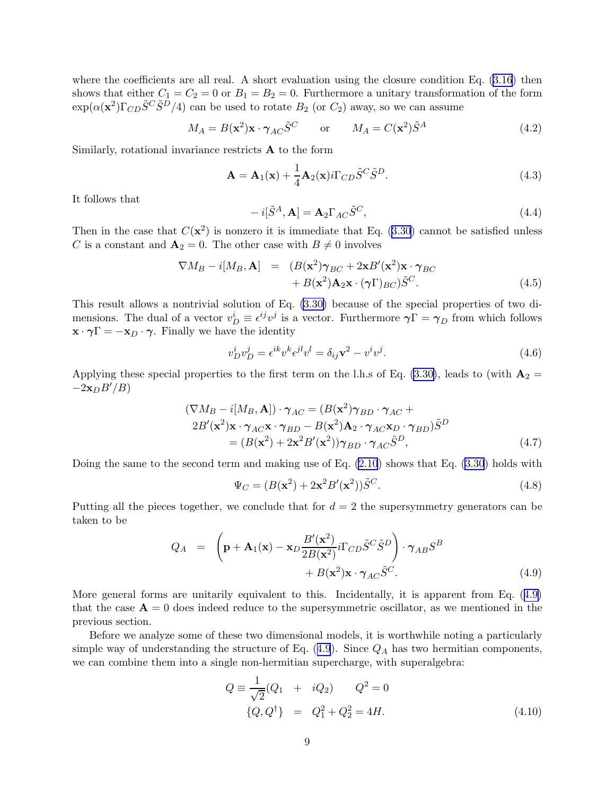<span id="page-9-0"></span>where the coefficients are all real. A short evaluation using the closure condition Eq.  $(3.16)$  then shows that either  $C_1 = C_2 = 0$  or  $B_1 = B_2 = 0$ . Furthermore a unitary transformation of the form  $\exp(\alpha(\mathbf{x}^2)\Gamma_{CD}\tilde{S}^C\tilde{S}^D/4)$  can be used to rotate  $B_2$  (or  $C_2$ ) away, so we can assume

$$
M_A = B(\mathbf{x}^2)\mathbf{x} \cdot \boldsymbol{\gamma}_{AC}\tilde{S}^C \quad \text{or} \quad M_A = C(\mathbf{x}^2)\tilde{S}^A \tag{4.2}
$$

Similarly, rotational invariance restricts  $\bf{A}$  to the form

$$
\mathbf{A} = \mathbf{A}_1(\mathbf{x}) + \frac{1}{4}\mathbf{A}_2(\mathbf{x})i\Gamma_{CD}\tilde{S}^C\tilde{S}^D.
$$
 (4.3)

It follows that

$$
-i[\tilde{S}^A, \mathbf{A}] = \mathbf{A}_2 \Gamma_{AC} \tilde{S}^C,
$$
\n(4.4)

Then in the case that  $C(\mathbf{x}^2)$  is nonzero it is immediate that Eq. [\(3.30](#page-8-0)) cannot be satisfied unless C is a constant and  $\mathbf{A}_2 = 0$ . The other case with  $B \neq 0$  involves

$$
\nabla M_B - i[M_B, \mathbf{A}] = (B(\mathbf{x}^2)\gamma_{BC} + 2\mathbf{x}B'(\mathbf{x}^2)\mathbf{x} \cdot \gamma_{BC} + B(\mathbf{x}^2)\mathbf{A}_2\mathbf{x} \cdot (\gamma \Gamma)_{BC})\tilde{S}^C.
$$
 (4.5)

This result allows a nontrivial solution of Eq. [\(3.30\)](#page-8-0) because of the special properties of two dimensions. The dual of a vector  $v_D^i \equiv \epsilon^{ij} v^j$  is a vector. Furthermore  $\gamma \Gamma = \gamma_D$  from which follows  $\mathbf{x} \cdot \boldsymbol{\gamma} = -\mathbf{x}_D \cdot \boldsymbol{\gamma}$ . Finally we have the identity

$$
v_D^i v_D^j = \epsilon^{ik} v^k \epsilon^{jl} v^l = \delta_{ij} \mathbf{v}^2 - v^i v^j.
$$
\n(4.6)

Applying these special properties to the first term on the l.h.s of Eq. [\(3.30\)](#page-8-0), leads to (with  $\mathbf{A}_2 =$  $-2\mathbf{x}_DB'/B$ 

$$
(\nabla M_B - i[M_B, \mathbf{A}]) \cdot \gamma_{AC} = (B(\mathbf{x}^2)\gamma_{BD} \cdot \gamma_{AC} + 2B'(\mathbf{x}^2)\mathbf{x} \cdot \gamma_{AC}\mathbf{x} \cdot \gamma_{BD} - B(\mathbf{x}^2)\mathbf{A}_2 \cdot \gamma_{AC}\mathbf{x}_D \cdot \gamma_{BD})\tilde{S}^D
$$
  
=  $(B(\mathbf{x}^2) + 2\mathbf{x}^2B'(\mathbf{x}^2))\gamma_{BD} \cdot \gamma_{AC}\tilde{S}^D,$  (4.7)

Doing the same to the second term and making use of Eq. [\(2.10](#page-3-0)) shows that Eq. [\(3.30](#page-8-0)) holds with

$$
\Psi_C = (B(\mathbf{x}^2) + 2\mathbf{x}^2 B'(\mathbf{x}^2))\tilde{S}^C.
$$
\n(4.8)

Putting all the pieces together, we conclude that for  $d = 2$  the supersymmetry generators can be taken to be

$$
Q_A = \left(\mathbf{p} + \mathbf{A}_1(\mathbf{x}) - \mathbf{x}_D \frac{B'(\mathbf{x}^2)}{2B(\mathbf{x}^2)} i\Gamma_{CD} \tilde{S}^C \tilde{S}^D\right) \cdot \gamma_{AB} S^B + B(\mathbf{x}^2) \mathbf{x} \cdot \gamma_{AC} \tilde{S}^C.
$$
 (4.9)

More general forms are unitarily equivalent to this. Incidentally, it is apparent from Eq. (4.9) that the case  $\mathbf{A} = 0$  does indeed reduce to the supersymmetric oscillator, as we mentioned in the previous section.

Before we analyze some of these two dimensional models, it is worthwhile noting a particularly simple way of understanding the structure of Eq.  $(4.9)$ . Since  $Q_A$  has two hermitian components, we can combine them into a single non-hermitian supercharge, with superalgebra:

$$
Q \equiv \frac{1}{\sqrt{2}} (Q_1 + iQ_2) \qquad Q^2 = 0
$$
  

$$
\{Q, Q^{\dagger}\} = Q_1^2 + Q_2^2 = 4H.
$$
 (4.10)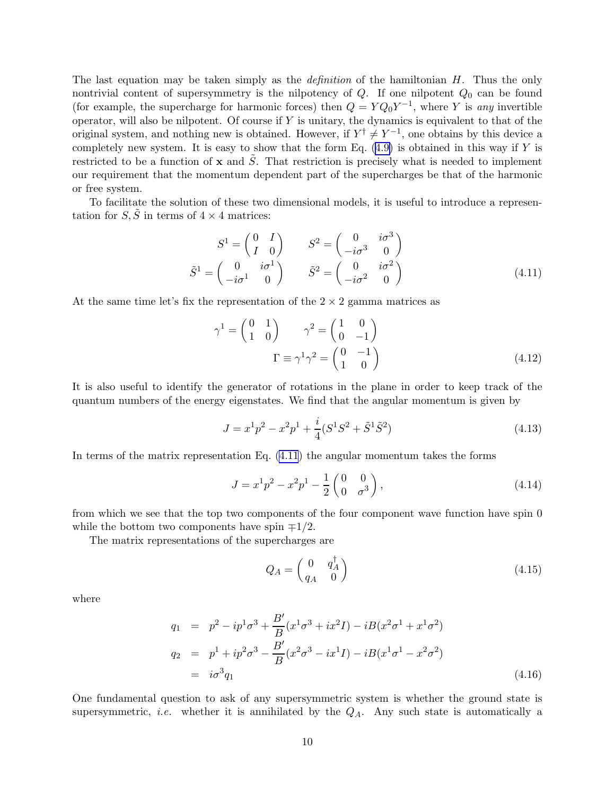The last equation may be taken simply as the *definition* of the hamiltonian H. Thus the only nontrivial content of supersymmetry is the nilpotency of  $Q$ . If one nilpotent  $Q_0$  can be found (for example, the supercharge for harmonic forces) then  $Q = YQ_0Y^{-1}$ , where Y is any invertible operator, will also be nilpotent. Of course if  $Y$  is unitary, the dynamics is equivalent to that of the original system, and nothing new is obtained. However, if  $Y^{\dagger} \neq Y^{-1}$ , one obtains by this device a completelynew system. It is easy to show that the form Eq.  $(4.9)$  $(4.9)$  is obtained in this way if Y is restricted to be a function of **x** and  $\tilde{S}$ . That restriction is precisely what is needed to implement our requirement that the momentum dependent part of the supercharges be that of the harmonic or free system.

To facilitate the solution of these two dimensional models, it is useful to introduce a representation for  $S, \tilde{S}$  in terms of  $4 \times 4$  matrices:

$$
S^{1} = \begin{pmatrix} 0 & I \\ I & 0 \end{pmatrix} \qquad S^{2} = \begin{pmatrix} 0 & i\sigma^{3} \\ -i\sigma^{3} & 0 \end{pmatrix}
$$

$$
\tilde{S}^{1} = \begin{pmatrix} 0 & i\sigma^{1} \\ -i\sigma^{1} & 0 \end{pmatrix} \qquad \tilde{S}^{2} = \begin{pmatrix} 0 & i\sigma^{2} \\ -i\sigma^{2} & 0 \end{pmatrix}
$$
(4.11)

At the same time let's fix the representation of the  $2 \times 2$  gamma matrices as

$$
\gamma^1 = \begin{pmatrix} 0 & 1 \\ 1 & 0 \end{pmatrix} \qquad \gamma^2 = \begin{pmatrix} 1 & 0 \\ 0 & -1 \end{pmatrix}
$$

$$
\Gamma \equiv \gamma^1 \gamma^2 = \begin{pmatrix} 0 & -1 \\ 1 & 0 \end{pmatrix}
$$
(4.12)

It is also useful to identify the generator of rotations in the plane in order to keep track of the quantum numbers of the energy eigenstates. We find that the angular momentum is given by

$$
J = x^{1}p^{2} - x^{2}p^{1} + \frac{i}{4}(S^{1}S^{2} + \tilde{S}^{1}\tilde{S}^{2})
$$
\n(4.13)

In terms of the matrix representation Eq. (4.11) the angular momentum takes the forms

$$
J = x^{1}p^{2} - x^{2}p^{1} - \frac{1}{2} \begin{pmatrix} 0 & 0 \\ 0 & \sigma^{3} \end{pmatrix},
$$
\n(4.14)

from which we see that the top two components of the four component wave function have spin 0 while the bottom two components have spin  $\mp 1/2$ .

The matrix representations of the supercharges are

$$
Q_A = \begin{pmatrix} 0 & q_A^{\dagger} \\ q_A & 0 \end{pmatrix} \tag{4.15}
$$

where

$$
q_1 = p^2 - ip^1 \sigma^3 + \frac{B'}{B} (x^1 \sigma^3 + ix^2 I) - iB(x^2 \sigma^1 + x^1 \sigma^2)
$$
  
\n
$$
q_2 = p^1 + ip^2 \sigma^3 - \frac{B'}{B} (x^2 \sigma^3 - ix^1 I) - iB(x^1 \sigma^1 - x^2 \sigma^2)
$$
  
\n
$$
= i\sigma^3 q_1
$$
\n(4.16)

One fundamental question to ask of any supersymmetric system is whether the ground state is supersymmetric, *i.e.* whether it is annihilated by the  $Q_A$ . Any such state is automatically a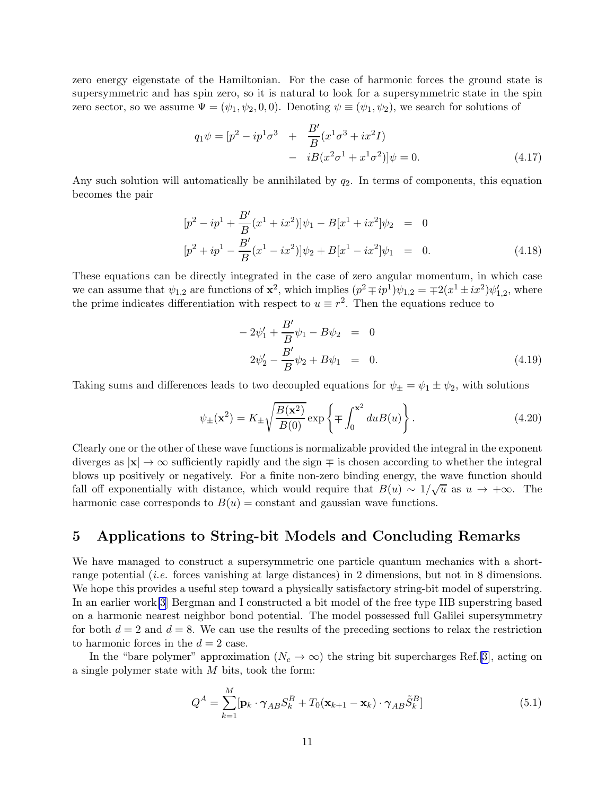zero energy eigenstate of the Hamiltonian. For the case of harmonic forces the ground state is supersymmetric and has spin zero, so it is natural to look for a supersymmetric state in the spin zero sector, so we assume  $\Psi = (\psi_1, \psi_2, 0, 0)$ . Denoting  $\psi \equiv (\psi_1, \psi_2)$ , we search for solutions of

$$
q_1 \psi = [p^2 - ip^1 \sigma^3 + \frac{B'}{B} (x^1 \sigma^3 + ix^2 I) - iB(x^2 \sigma^1 + x^1 \sigma^2)]\psi = 0.
$$
 (4.17)

Any such solution will automatically be annihilated by  $q_2$ . In terms of components, this equation becomes the pair

$$
[p2 - ip1 + \frac{B'}{B}(x1 + ix2)]\psi_1 - B[x1 + ix2]\psi_2 = 0
$$
  

$$
[p2 + ip1 - \frac{B'}{B}(x1 - ix2)]\psi_2 + B[x1 - ix2]\psi_1 = 0.
$$
 (4.18)

These equations can be directly integrated in the case of zero angular momentum, in which case we can assume that  $\psi_{1,2}$  are functions of  $\mathbf{x}^2$ , which implies  $(p^2 \mp ip^1)\psi_{1,2} = \mp 2(x^1 \pm ix^2)\psi'_{1,2}$ , where the prime indicates differentiation with respect to  $u \equiv r^2$ . Then the equations reduce to

$$
-2\psi_1' + \frac{B'}{B}\psi_1 - B\psi_2 = 0
$$
  

$$
2\psi_2' - \frac{B'}{B}\psi_2 + B\psi_1 = 0.
$$
 (4.19)

Taking sums and differences leads to two decoupled equations for  $\psi_{\pm} = \psi_1 \pm \psi_2$ , with solutions

$$
\psi_{\pm}(\mathbf{x}^2) = K_{\pm} \sqrt{\frac{B(\mathbf{x}^2)}{B(0)}} \exp\left\{\mp \int_0^{\mathbf{x}^2} du B(u) \right\}.
$$
\n(4.20)

Clearly one or the other of these wave functions is normalizable provided the integral in the exponent diverges as  $|x| \to \infty$  sufficiently rapidly and the sign  $\mp$  is chosen according to whether the integral blows up positively or negatively. For a finite non-zero binding energy, the wave function should fall off exponentially with distance, which would require that  $B(u) \sim 1/\sqrt{u}$  as  $u \to +\infty$ . The harmonic case corresponds to  $B(u) = constant$  and gaussian wave functions.

### 5 Applications to String-bit Models and Concluding Remarks

We have managed to construct a supersymmetric one particle quantum mechanics with a shortrange potential *(i.e.* forces vanishing at large distances) in 2 dimensions, but not in 8 dimensions. We hope this provides a useful step toward a physically satisfactory string-bit model of superstring. In an earlier work[\[3\]](#page-16-0) Bergman and I constructed a bit model of the free type IIB superstring based on a harmonic nearest neighbor bond potential. The model possessed full Galilei supersymmetry for both  $d = 2$  and  $d = 8$ . We can use the results of the preceding sections to relax the restriction to harmonic forces in the  $d = 2$  case.

In the "bare polymer" approximation  $(N_c \to \infty)$  the string bit supercharges Ref.[\[3\]](#page-16-0), acting on a single polymer state with  $M$  bits, took the form:

$$
Q^{A} = \sum_{k=1}^{M} [\mathbf{p}_{k} \cdot \boldsymbol{\gamma}_{AB} S_{k}^{B} + T_{0} (\mathbf{x}_{k+1} - \mathbf{x}_{k}) \cdot \boldsymbol{\gamma}_{AB} \tilde{S}_{k}^{B}] \tag{5.1}
$$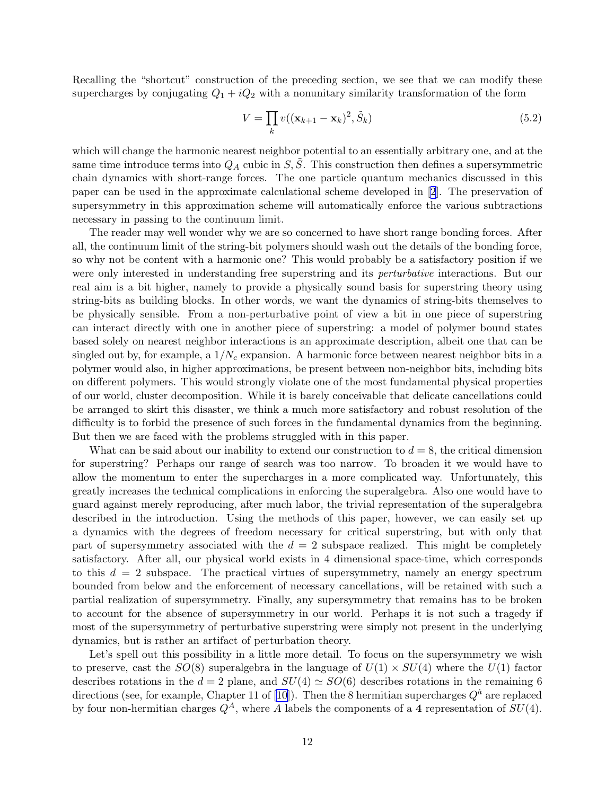Recalling the "shortcut" construction of the preceding section, we see that we can modify these supercharges by conjugating  $Q_1 + iQ_2$  with a nonunitary similarity transformation of the form

$$
V = \prod_{k} v((\mathbf{x}_{k+1} - \mathbf{x}_{k})^2, \tilde{S}_k)
$$
\n(5.2)

which will change the harmonic nearest neighbor potential to an essentially arbitrary one, and at the same time introduce terms into  $Q_A$  cubic in  $S, \overline{S}$ . This construction then defines a supersymmetric chain dynamics with short-range forces. The one particle quantum mechanics discussed in this paper can be used in the approximate calculational scheme developed in[[2](#page-16-0)]. The preservation of supersymmetry in this approximation scheme will automatically enforce the various subtractions necessary in passing to the continuum limit.

The reader may well wonder why we are so concerned to have short range bonding forces. After all, the continuum limit of the string-bit polymers should wash out the details of the bonding force, so why not be content with a harmonic one? This would probably be a satisfactory position if we were only interested in understanding free superstring and its *perturbative* interactions. But our real aim is a bit higher, namely to provide a physically sound basis for superstring theory using string-bits as building blocks. In other words, we want the dynamics of string-bits themselves to be physically sensible. From a non-perturbative point of view a bit in one piece of superstring can interact directly with one in another piece of superstring: a model of polymer bound states based solely on nearest neighbor interactions is an approximate description, albeit one that can be singled out by, for example, a  $1/N_c$  expansion. A harmonic force between nearest neighbor bits in a polymer would also, in higher approximations, be present between non-neighbor bits, including bits on different polymers. This would strongly violate one of the most fundamental physical properties of our world, cluster decomposition. While it is barely conceivable that delicate cancellations could be arranged to skirt this disaster, we think a much more satisfactory and robust resolution of the difficulty is to forbid the presence of such forces in the fundamental dynamics from the beginning. But then we are faced with the problems struggled with in this paper.

What can be said about our inability to extend our construction to  $d = 8$ , the critical dimension for superstring? Perhaps our range of search was too narrow. To broaden it we would have to allow the momentum to enter the supercharges in a more complicated way. Unfortunately, this greatly increases the technical complications in enforcing the superalgebra. Also one would have to guard against merely reproducing, after much labor, the trivial representation of the superalgebra described in the introduction. Using the methods of this paper, however, we can easily set up a dynamics with the degrees of freedom necessary for critical superstring, but with only that part of supersymmetry associated with the  $d = 2$  subspace realized. This might be completely satisfactory. After all, our physical world exists in 4 dimensional space-time, which corresponds to this  $d = 2$  subspace. The practical virtues of supersymmetry, namely an energy spectrum bounded from below and the enforcement of necessary cancellations, will be retained with such a partial realization of supersymmetry. Finally, any supersymmetry that remains has to be broken to account for the absence of supersymmetry in our world. Perhaps it is not such a tragedy if most of the supersymmetry of perturbative superstring were simply not present in the underlying dynamics, but is rather an artifact of perturbation theory.

Let's spell out this possibility in a little more detail. To focus on the supersymmetry we wish to preserve, cast the  $SO(8)$  superalgebra in the language of  $U(1) \times SU(4)$  where the  $U(1)$  factor describes rotations in the  $d = 2$  plane, and  $SU(4) \simeq SO(6)$  describes rotations in the remaining 6 directions (see, for example, Chapter 11 of [\[10](#page-16-0)]). Then the 8 hermitian supercharges  $Q^{\dot{a}}$  are replaced by four non-hermitian charges  $Q^A$ , where A labels the components of a 4 representation of  $SU(4)$ .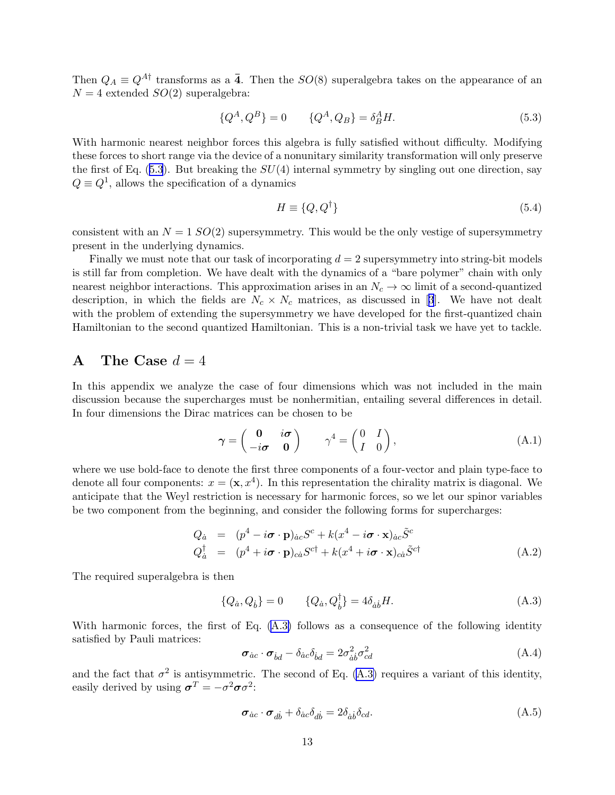<span id="page-13-0"></span>Then  $Q_A \equiv Q^{A\dagger}$  transforms as a  $\bar{4}$ . Then the  $SO(8)$  superalgebra takes on the appearance of an  $N = 4$  extended  $SO(2)$  superalgebra:

$$
\{Q^A, Q^B\} = 0 \qquad \{Q^A, Q_B\} = \delta_B^A H. \tag{5.3}
$$

With harmonic nearest neighbor forces this algebra is fully satisfied without difficulty. Modifying these forces to short range via the device of a nonunitary similarity transformation will only preserve the first of Eq.  $(5.3)$ . But breaking the  $SU(4)$  internal symmetry by singling out one direction, say  $Q \equiv Q^1$ , allows the specification of a dynamics

$$
H \equiv \{Q, Q^{\dagger}\}\tag{5.4}
$$

consistent with an  $N = 1$   $SO(2)$  supersymmetry. This would be the only vestige of supersymmetry present in the underlying dynamics.

Finally we must note that our task of incorporating  $d = 2$  supersymmetry into string-bit models is still far from completion. We have dealt with the dynamics of a "bare polymer" chain with only nearest neighbor interactions. This approximation arises in an  $N_c \to \infty$  limit of a second-quantized description,in which the fields are  $N_c \times N_c$  matrices, as discussed in [[3](#page-16-0)]. We have not dealt with the problem of extending the supersymmetry we have developed for the first-quantized chain Hamiltonian to the second quantized Hamiltonian. This is a non-trivial task we have yet to tackle.

### A The Case  $d = 4$

In this appendix we analyze the case of four dimensions which was not included in the main discussion because the supercharges must be nonhermitian, entailing several differences in detail. In four dimensions the Dirac matrices can be chosen to be

$$
\boldsymbol{\gamma} = \begin{pmatrix} \mathbf{0} & i\boldsymbol{\sigma} \\ -i\boldsymbol{\sigma} & \mathbf{0} \end{pmatrix} \qquad \boldsymbol{\gamma}^4 = \begin{pmatrix} 0 & I \\ I & 0 \end{pmatrix}, \tag{A.1}
$$

where we use bold-face to denote the first three components of a four-vector and plain type-face to denote all four components:  $x = (\mathbf{x}, x^4)$ . In this representation the chirality matrix is diagonal. We anticipate that the Weyl restriction is necessary for harmonic forces, so we let our spinor variables be two component from the beginning, and consider the following forms for supercharges:

$$
Q_{\dot{a}} = (p^4 - i\boldsymbol{\sigma} \cdot \mathbf{p})_{\dot{a}c} S^c + k(x^4 - i\boldsymbol{\sigma} \cdot \mathbf{x})_{\dot{a}c} \tilde{S}^c
$$
  
\n
$$
Q_{\dot{a}}^{\dagger} = (p^4 + i\boldsymbol{\sigma} \cdot \mathbf{p})_{c\dot{a}} S^{c\dagger} + k(x^4 + i\boldsymbol{\sigma} \cdot \mathbf{x})_{c\dot{a}} \tilde{S}^{c\dagger}
$$
\n(A.2)

The required superalgebra is then

$$
\{Q_{\dot{a}}, Q_{\dot{b}}\} = 0 \qquad \{Q_{\dot{a}}, Q_{\dot{b}}^{\dagger}\} = 4\delta_{\dot{a}\dot{b}}H. \tag{A.3}
$$

With harmonic forces, the first of Eq. (A.3) follows as a consequence of the following identity satisfied by Pauli matrices:

$$
\sigma_{ac} \cdot \sigma_{bd} - \delta_{ac}\delta_{bd} = 2\sigma_{\dot{a}\dot{b}}^2 \sigma_{cd}^2
$$
\n(A.4)

and the fact that  $\sigma^2$  is antisymmetric. The second of Eq. (A.3) requires a variant of this identity, easily derived by using  $\boldsymbol{\sigma}^T = -\sigma^2 \boldsymbol{\sigma} \sigma^2$ :

$$
\boldsymbol{\sigma}_{\dot{a}c} \cdot \boldsymbol{\sigma}_{d\dot{b}} + \delta_{\dot{a}c}\delta_{d\dot{b}} = 2\delta_{\dot{a}\dot{b}}\delta_{cd}.
$$
\n(A.5)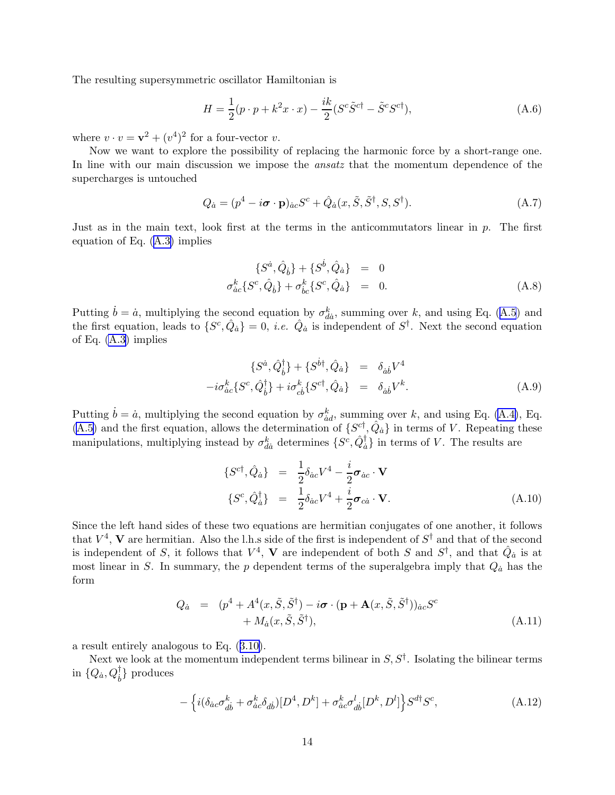The resulting supersymmetric oscillator Hamiltonian is

$$
H = \frac{1}{2}(p \cdot p + k^2 x \cdot x) - \frac{ik}{2}(S^c \tilde{S}^{c\dagger} - \tilde{S}^c S^{c\dagger}),
$$
\n(A.6)

where  $v \cdot v = \mathbf{v}^2 + (v^4)^2$  for a four-vector  $v$ .

Now we want to explore the possibility of replacing the harmonic force by a short-range one. In line with our main discussion we impose the *ansatz* that the momentum dependence of the supercharges is untouched

$$
Q_{\dot{a}} = (p^4 - i\boldsymbol{\sigma} \cdot \mathbf{p})_{\dot{a}c} S^c + \hat{Q}_{\dot{a}}(x, \tilde{S}, \tilde{S}^\dagger, S, S^\dagger). \tag{A.7}
$$

Just as in the main text, look first at the terms in the anticommutators linear in  $p$ . The first equation of Eq. [\(A.3\)](#page-13-0) implies

$$
\{S^{\dot{a}}, \hat{Q}_{\dot{b}}\} + \{S^{\dot{b}}, \hat{Q}_{\dot{a}}\} = 0
$$
  
\n
$$
\sigma_{\dot{a}c}^k \{S^c, \hat{Q}_{\dot{b}}\} + \sigma_{\dot{b}c}^k \{S^c, \hat{Q}_{\dot{a}}\} = 0.
$$
\n(A.8)

Putting $\dot{b} = \dot{a}$ , multiplying the second equation by  $\sigma_{d\dot{a}}^k$ , summing over k, and using Eq. ([A.5](#page-13-0)) and the first equation, leads to  $\{S^c, \hat{Q}_a\} = 0$ , *i.e.*  $\hat{Q}_a$  is independent of  $S^{\dagger}$ . Next the second equation of Eq. [\(A.3](#page-13-0)) implies

$$
\{S^{\dot{a}}, \hat{Q}_{\dot{b}}^{\dagger}\} + \{S^{\dot{b}\dagger}, \hat{Q}_{\dot{a}}\} = \delta_{\dot{a}\dot{b}}V^4
$$

$$
-i\sigma_{\dot{a}\dot{c}}^k \{S^c, \hat{Q}_{\dot{b}}^{\dagger}\} + i\sigma_{\dot{c}\dot{b}}^k \{S^{c\dagger}, \hat{Q}_{\dot{a}}\} = \delta_{\dot{a}\dot{b}}V^k.
$$
(A.9)

Putting  $\dot{b} = \dot{a}$ , multiplying the second equation by  $\sigma_{\dot{a}d}^k$ , summing over k, and using Eq. [\(A.4\)](#page-13-0), Eq. [\(A.5\)](#page-13-0) and the first equation, allows the determination of  $\{S^{ct}, \hat{Q}_a\}$  in terms of V. Repeating these manipulations, multiplying instead by  $\sigma_{da}^k$  determines  $\{S^c, \hat{Q}_a^{\dagger}\}$  in terms of V. The results are

$$
\{S^{c\dagger}, \hat{Q}_{\dot{a}}\} = \frac{1}{2} \delta_{\dot{a}c} V^4 - \frac{i}{2} \boldsymbol{\sigma}_{\dot{a}c} \cdot \mathbf{V}
$$
  

$$
\{S^c, \hat{Q}_{\dot{a}}^{\dagger}\} = \frac{1}{2} \delta_{\dot{a}c} V^4 + \frac{i}{2} \boldsymbol{\sigma}_{c\dot{a}} \cdot \mathbf{V}.
$$
 (A.10)

Since the left hand sides of these two equations are hermitian conjugates of one another, it follows that  $V^4$ , V are hermitian. Also the l.h.s side of the first is independent of  $S^{\dagger}$  and that of the second is independent of S, it follows that  $V^4$ , V are independent of both S and  $S^{\dagger}$ , and that  $\hat{Q}_a$  is at most linear in S. In summary, the p dependent terms of the superalgebra imply that  $Q_{\dot{a}}$  has the form

$$
Q_{\dot{a}} = (p^4 + A^4(x, \tilde{S}, \tilde{S}^{\dagger}) - i\boldsymbol{\sigma} \cdot (\mathbf{p} + \mathbf{A}(x, \tilde{S}, \tilde{S}^{\dagger}))_{\dot{a}c} S^c + M_{\dot{a}}(x, \tilde{S}, \tilde{S}^{\dagger}),
$$
\n(A.11)

a result entirely analogous to Eq.([3.10\)](#page-6-0).

Next we look at the momentum independent terms bilinear in  $S, S^{\dagger}$ . Isolating the bilinear terms in  $\{Q_{\dot{a}}, Q_{\dot{b}}^{\dagger}\}$  produces

$$
-\left\{i(\delta_{\dot a c} \sigma_{d \dot b}^k + \sigma_{\dot a c}^k \delta_{d \dot b})[D^4, D^k] + \sigma_{\dot a c}^k \sigma_{d \dot b}^l[D^k, D^l]\right\} S^{d\dagger} S^c,\tag{A.12}
$$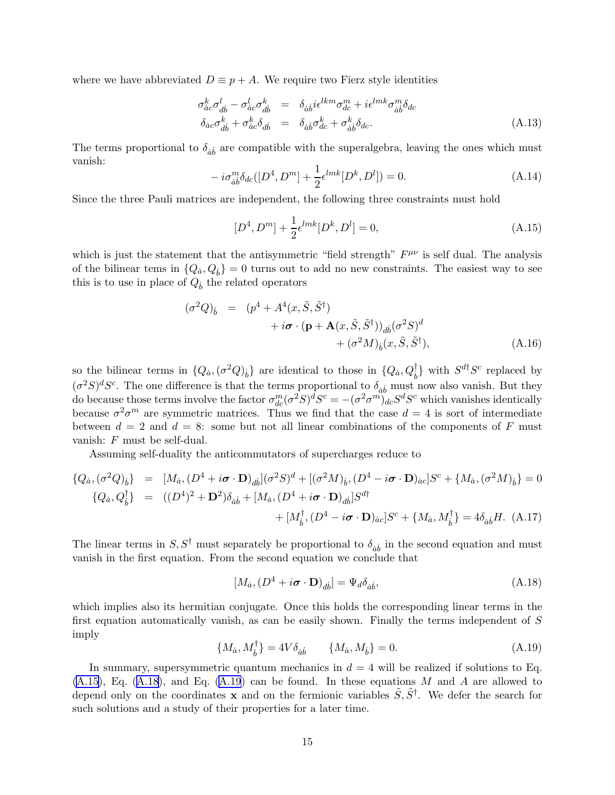where we have abbreviated  $D \equiv p + A$ . We require two Fierz style identities

$$
\sigma_{\dot{a}c}^{k} \sigma_{d\dot{b}}^{l} - \sigma_{\dot{a}c}^{l} \sigma_{d\dot{b}}^{k} = \delta_{\dot{a}\dot{b}} i\epsilon^{lkm} \sigma_{dc}^{m} + i\epsilon^{lmk} \sigma_{\dot{a}\dot{b}}^{m} \delta_{dc}
$$
\n
$$
\delta_{\dot{a}c} \sigma_{d\dot{b}}^{k} + \sigma_{\dot{a}c}^{k} \delta_{d\dot{b}} = \delta_{\dot{a}\dot{b}} \sigma_{dc}^{k} + \sigma_{\dot{a}\dot{b}}^{k} \delta_{dc}.
$$
\n(A.13)

The terms proportional to  $\delta_{\dot{a}\dot{b}}$  are compatible with the superalgebra, leaving the ones which must vanish:

$$
-i\sigma_{\dot{a}\dot{b}}^m \delta_{dc}([D^4, D^m] + \frac{1}{2} \epsilon^{lmk} [D^k, D^l]) = 0.
$$
 (A.14)

Since the three Pauli matrices are independent, the following three constraints must hold

$$
[D^4, D^m] + \frac{1}{2} \epsilon^{lmk} [D^k, D^l] = 0,
$$
\n(A.15)

which is just the statement that the antisymmetric "field strength"  $F^{\mu\nu}$  is self dual. The analysis of the bilinear tems in  $\{Q_a, Q_b\} = 0$  turns out to add no new constraints. The easiest way to see this is to use in place of  $Q_b$  the related operators

$$
(\sigma^2 Q)_b = (p^4 + A^4(x, \tilde{S}, \tilde{S}^\dagger) + i\boldsymbol{\sigma} \cdot (\mathbf{p} + \mathbf{A}(x, \tilde{S}, \tilde{S}^\dagger))_{db} (\sigma^2 S)^d + (\sigma^2 M)_b(x, \tilde{S}, \tilde{S}^\dagger),
$$
 (A.16)

so the bilinear terms in  $\{Q_a, (\sigma^2 Q)_b\}$  are identical to those in  $\{Q_a, Q_b^{\dagger}\}\$  with  $S^{d\dagger}S^c$  replaced by  $(\sigma^2 S)^d S^c$ . The one difference is that the terms proportional to  $\delta_{ab}$  must now also vanish. But they do because those terms involve the factor  $\sigma_{dc}^m(\sigma^2 S)^d S^c = -(\sigma^2 \sigma^m)_{dc} S^d S^c$  which vanishes identically because  $\sigma^2 \sigma^m$  are symmetric matrices. Thus we find that the case  $d=4$  is sort of intermediate between  $d = 2$  and  $d = 8$ : some but not all linear combinations of the components of F must vanish: F must be self-dual.

Assuming self-duality the anticommutators of supercharges reduce to

$$
\{Q_{\dot{a}}, (\sigma^2 Q)_{\dot{b}}\} = [M_{\dot{a}}, (D^4 + i\boldsymbol{\sigma} \cdot \mathbf{D})_{d\dot{b}}](\sigma^2 S)^d + [(\sigma^2 M)_{\dot{b}}, (D^4 - i\boldsymbol{\sigma} \cdot \mathbf{D})_{\dot{a}c}]S^c + \{M_{\dot{a}}, (\sigma^2 M)_{\dot{b}}\} = 0
$$
  

$$
\{Q_{\dot{a}}, Q_{\dot{b}}^{\dagger}\} = ((D^4)^2 + \mathbf{D}^2)\delta_{\dot{a}\dot{b}} + [M_{\dot{a}}, (D^4 + i\boldsymbol{\sigma} \cdot \mathbf{D})_{d\dot{b}}]S^{d\dagger} + [M_{\dot{b}}^{\dagger}, (D^4 - i\boldsymbol{\sigma} \cdot \mathbf{D})_{\dot{a}c}]S^c + \{M_{\dot{a}}, M_{\dot{b}}^{\dagger}\} = 4\delta_{\dot{a}\dot{b}}H. (A.17)
$$

The linear terms in  $S, S^{\dagger}$  must separately be proportional to  $\delta_{\dot{a}\dot{b}}$  in the second equation and must vanish in the first equation. From the second equation we conclude that

$$
[M_{\dot{a}}, (D^4 + i\boldsymbol{\sigma} \cdot \mathbf{D})_{d\dot{b}}] = \Psi_d \delta_{\dot{a}\dot{b}},
$$
\n(A.18)

which implies also its hermitian conjugate. Once this holds the corresponding linear terms in the first equation automatically vanish, as can be easily shown. Finally the terms independent of S imply

$$
\{M_{\dot{a}}, M_{\dot{b}}^{\dagger}\} = 4V\delta_{\dot{a}\dot{b}} \qquad \{M_{\dot{a}}, M_{\dot{b}}\} = 0. \tag{A.19}
$$

In summary, supersymmetric quantum mechanics in  $d = 4$  will be realized if solutions to Eq.  $(A.15)$ , Eq.  $(A.18)$ , and Eq.  $(A.19)$  can be found. In these equations M and A are allowed to depend only on the coordinates **x** and on the fermionic variables  $\tilde{S}, \tilde{S}^{\dagger}$ . We defer the search for such solutions and a study of their properties for a later time.